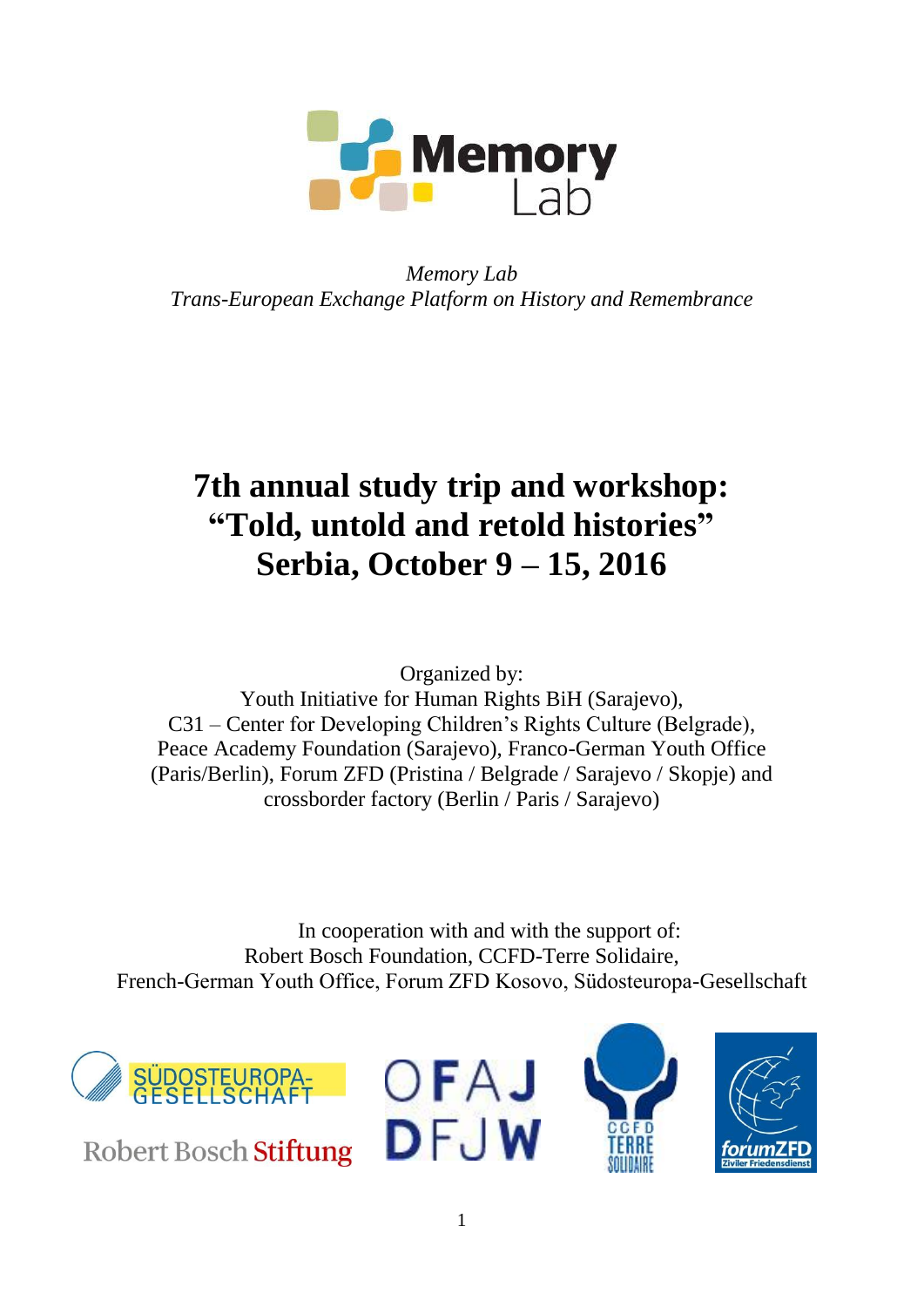

*Memory Lab Trans-European Exchange Platform on History and Remembrance*

# **7th annual study trip and workshop: "Told, untold and retold histories" Serbia, October 9 – 15, 2016**

Organized by:

Youth Initiative for Human Rights BiH (Sarajevo), C31 – Center for Developing Children's Rights Culture (Belgrade), Peace Academy Foundation (Sarajevo), Franco-German Youth Office (Paris/Berlin), Forum ZFD (Pristina / Belgrade / Sarajevo / Skopje) and crossborder factory (Berlin / Paris / Sarajevo)

In cooperation with and with the support of: Robert Bosch Foundation, CCFD-Terre Solidaire, French-German Youth Office, Forum ZFD Kosovo, Südosteuropa-Gesellschaft



Robert Bosch Stiftung





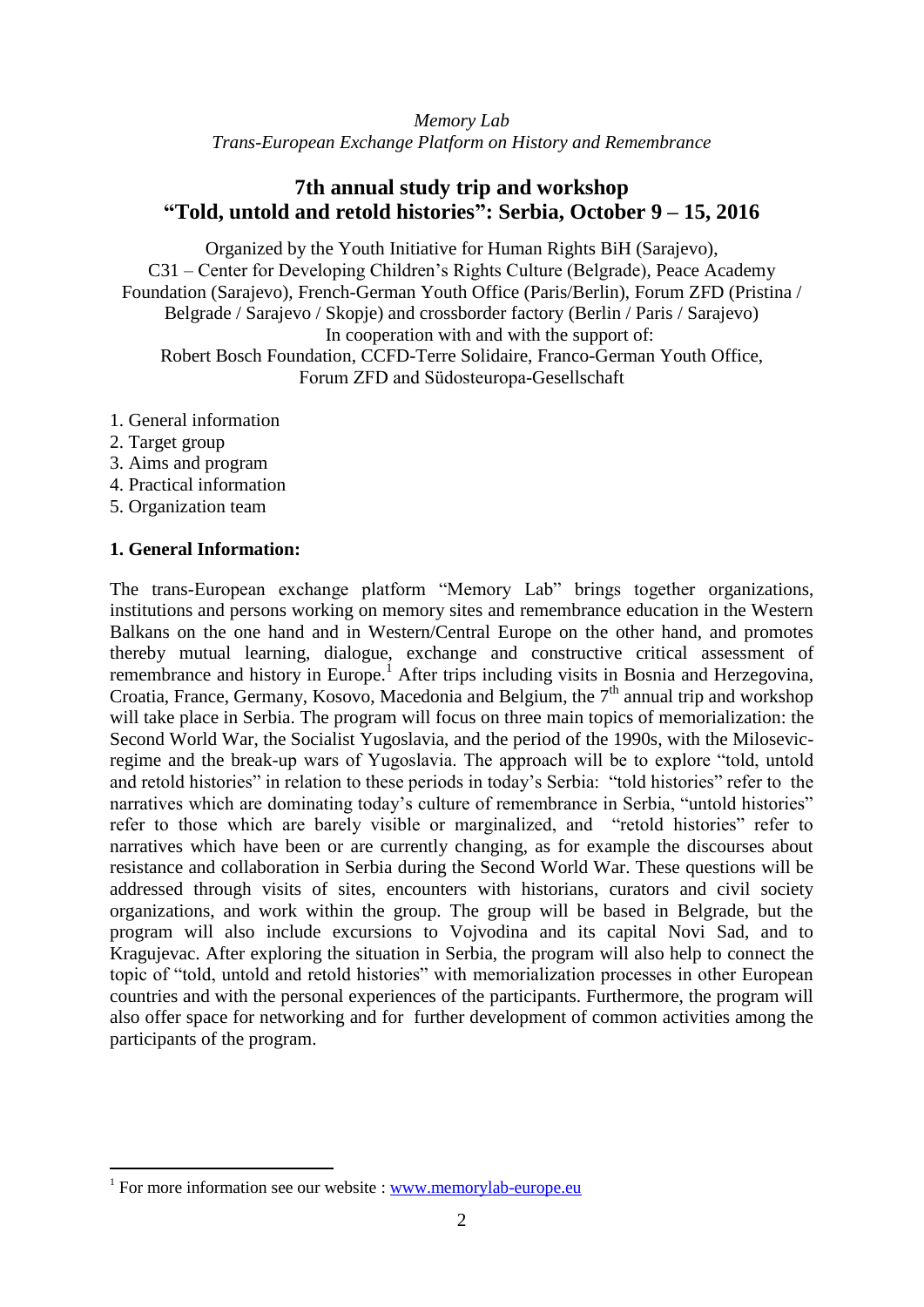*Memory Lab Trans-European Exchange Platform on History and Remembrance*

# **7th annual study trip and workshop "Told, untold and retold histories": Serbia, October 9 – 15, 2016**

Organized by the Youth Initiative for Human Rights BiH (Sarajevo), C31 – Center for Developing Children's Rights Culture (Belgrade), Peace Academy Foundation (Sarajevo), French-German Youth Office (Paris/Berlin), Forum ZFD (Pristina / Belgrade / Sarajevo / Skopje) and crossborder factory (Berlin / Paris / Sarajevo) In cooperation with and with the support of: Robert Bosch Foundation, CCFD-Terre Solidaire, Franco-German Youth Office, Forum ZFD and Südosteuropa-Gesellschaft

- 1. General information
- 2. Target group

1

- 3. Aims and program
- 4. Practical information
- 5. Organization team

## **1. General Information:**

The trans-European exchange platform "Memory Lab" brings together organizations, institutions and persons working on memory sites and remembrance education in the Western Balkans on the one hand and in Western/Central Europe on the other hand, and promotes thereby mutual learning, dialogue, exchange and constructive critical assessment of remembrance and history in Europe.<sup>1</sup> After trips including visits in Bosnia and Herzegovina, Croatia, France, Germany, Kosovo, Macedonia and Belgium, the 7<sup>th</sup> annual trip and workshop will take place in Serbia. The program will focus on three main topics of memorialization: the Second World War, the Socialist Yugoslavia, and the period of the 1990s, with the Milosevicregime and the break-up wars of Yugoslavia. The approach will be to explore "told, untold and retold histories" in relation to these periods in today's Serbia: "told histories" refer to the narratives which are dominating today's culture of remembrance in Serbia, "untold histories" refer to those which are barely visible or marginalized, and "retold histories" refer to narratives which have been or are currently changing, as for example the discourses about resistance and collaboration in Serbia during the Second World War. These questions will be addressed through visits of sites, encounters with historians, curators and civil society organizations, and work within the group. The group will be based in Belgrade, but the program will also include excursions to Vojvodina and its capital Novi Sad, and to Kragujevac. After exploring the situation in Serbia, the program will also help to connect the topic of "told, untold and retold histories" with memorialization processes in other European countries and with the personal experiences of the participants. Furthermore, the program will also offer space for networking and for further development of common activities among the participants of the program.

 $1$  For more information see our website : [www.memorylab-europe.eu](http://www.memorylab-europe.eu/)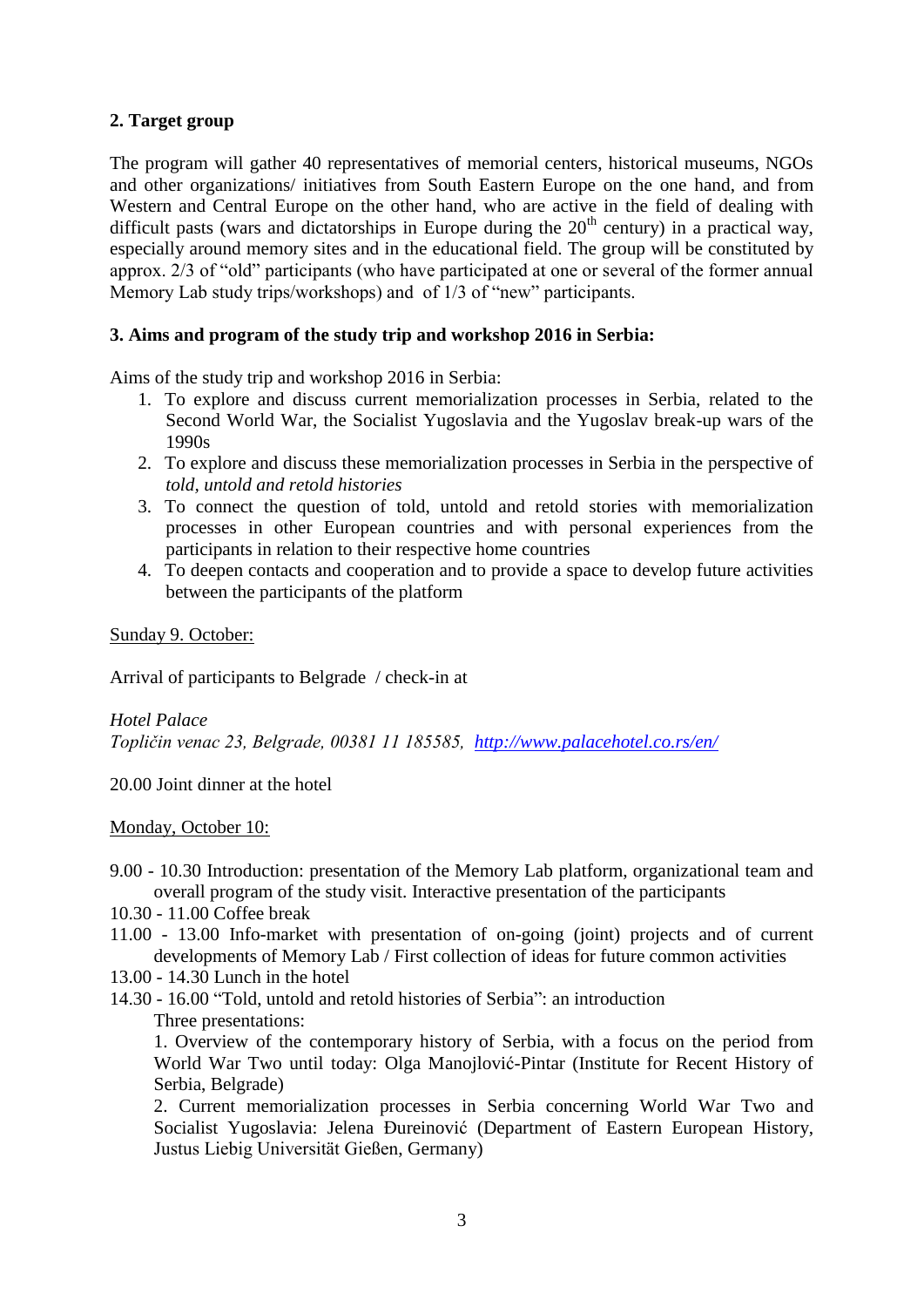# **2. Target group**

The program will gather 40 representatives of memorial centers, historical museums, NGOs and other organizations/ initiatives from South Eastern Europe on the one hand, and from Western and Central Europe on the other hand, who are active in the field of dealing with difficult pasts (wars and dictatorships in Europe during the  $20<sup>th</sup>$  century) in a practical way, especially around memory sites and in the educational field. The group will be constituted by approx. 2/3 of "old" participants (who have participated at one or several of the former annual Memory Lab study trips/workshops) and of 1/3 of "new" participants.

# **3. Aims and program of the study trip and workshop 2016 in Serbia:**

Aims of the study trip and workshop 2016 in Serbia:

- 1. To explore and discuss current memorialization processes in Serbia, related to the Second World War, the Socialist Yugoslavia and the Yugoslav break-up wars of the 1990s
- 2. To explore and discuss these memorialization processes in Serbia in the perspective of *told, untold and retold histories*
- 3. To connect the question of told, untold and retold stories with memorialization processes in other European countries and with personal experiences from the participants in relation to their respective home countries
- 4. To deepen contacts and cooperation and to provide a space to develop future activities between the participants of the platform

# Sunday 9. October:

Arrival of participants to Belgrade / check-in at

## *Hotel Palace*

*Topličin venac 23, Belgrade, 00381 11 185585, <http://www.palacehotel.co.rs/en/>*

20.00 Joint dinner at the hotel

Monday, October 10:

- 9.00 10.30 Introduction: presentation of the Memory Lab platform, organizational team and overall program of the study visit. Interactive presentation of the participants
- 10.30 11.00 Coffee break
- 11.00 13.00 Info-market with presentation of on-going (joint) projects and of current developments of Memory Lab / First collection of ideas for future common activities
- 13.00 14.30 Lunch in the hotel
- 14.30 16.00 "Told, untold and retold histories of Serbia": an introduction Three presentations:

1. Overview of the contemporary history of Serbia, with a focus on the period from World War Two until today: Olga Manojlović-Pintar (Institute for Recent History of Serbia, Belgrade)

2. Current memorialization processes in Serbia concerning World War Two and Socialist Yugoslavia: Jelena Đureinović (Department of Eastern European History, Justus Liebig Universität Gießen, Germany)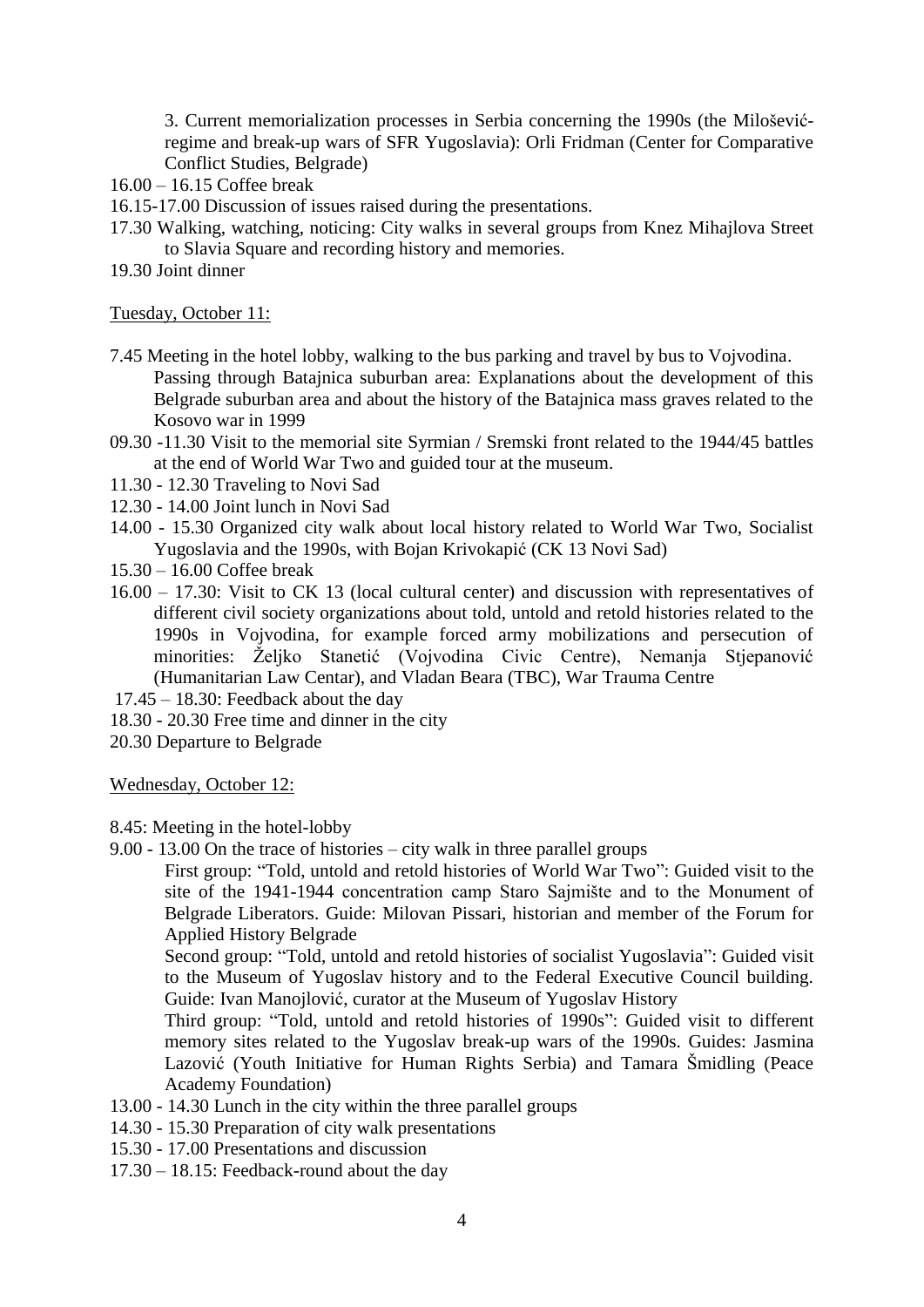3. Current memorialization processes in Serbia concerning the 1990s (the Miloševićregime and break-up wars of SFR Yugoslavia): Orli Fridman (Center for Comparative Conflict Studies, Belgrade)

- 16.00 16.15 Coffee break
- 16.15-17.00 Discussion of issues raised during the presentations.
- 17.30 Walking, watching, noticing: City walks in several groups from Knez Mihajlova Street to Slavia Square and recording history and memories.
- 19.30 Joint dinner

#### Tuesday, October 11:

- 7.45 Meeting in the hotel lobby, walking to the bus parking and travel by bus to Vojvodina. Passing through Batajnica suburban area: Explanations about the development of this Belgrade suburban area and about the history of the Batajnica mass graves related to the Kosovo war in 1999
- 09.30 -11.30 Visit to the memorial site Syrmian / Sremski front related to the 1944/45 battles at the end of World War Two and guided tour at the museum.
- 11.30 12.30 Traveling to Novi Sad
- 12.30 14.00 Joint lunch in Novi Sad
- 14.00 15.30 Organized city walk about local history related to World War Two, Socialist Yugoslavia and the 1990s, with Bojan Krivokapić (CK 13 Novi Sad)
- 15.30 16.00 Coffee break
- 16.00 17.30: Visit to CK 13 (local cultural center) and discussion with representatives of different civil society organizations about told, untold and retold histories related to the 1990s in Vojvodina, for example forced army mobilizations and persecution of minorities: Željko Stanetić (Vojvodina Civic Centre), Nemanja Stjepanović (Humanitarian Law Centar), and Vladan Beara (TBC), War Trauma Centre
- $17.45 18.30$ : Feedback about the day
- 18.30 20.30 Free time and dinner in the city
- 20.30 Departure to Belgrade

Wednesday, October 12:

- 8.45: Meeting in the hotel-lobby
- 9.00 13.00 On the trace of histories city walk in three parallel groups

First group: "Told, untold and retold histories of World War Two": Guided visit to the site of the 1941-1944 concentration camp Staro Sajmište and to the Monument of Belgrade Liberators. Guide: Milovan Pissari, historian and member of the Forum for Applied History Belgrade

Second group: "Told, untold and retold histories of socialist Yugoslavia": Guided visit to the Museum of Yugoslav history and to the Federal Executive Council building. Guide: Ivan Manojlović, curator at the Museum of Yugoslav History

Third group: "Told, untold and retold histories of 1990s": Guided visit to different memory sites related to the Yugoslav break-up wars of the 1990s. Guides: Jasmina Lazović (Youth Initiative for Human Rights Serbia) and Tamara Šmidling (Peace Academy Foundation)

- 13.00 14.30 Lunch in the city within the three parallel groups
- 14.30 15.30 Preparation of city walk presentations
- 15.30 17.00 Presentations and discussion
- 17.30 18.15: Feedback-round about the day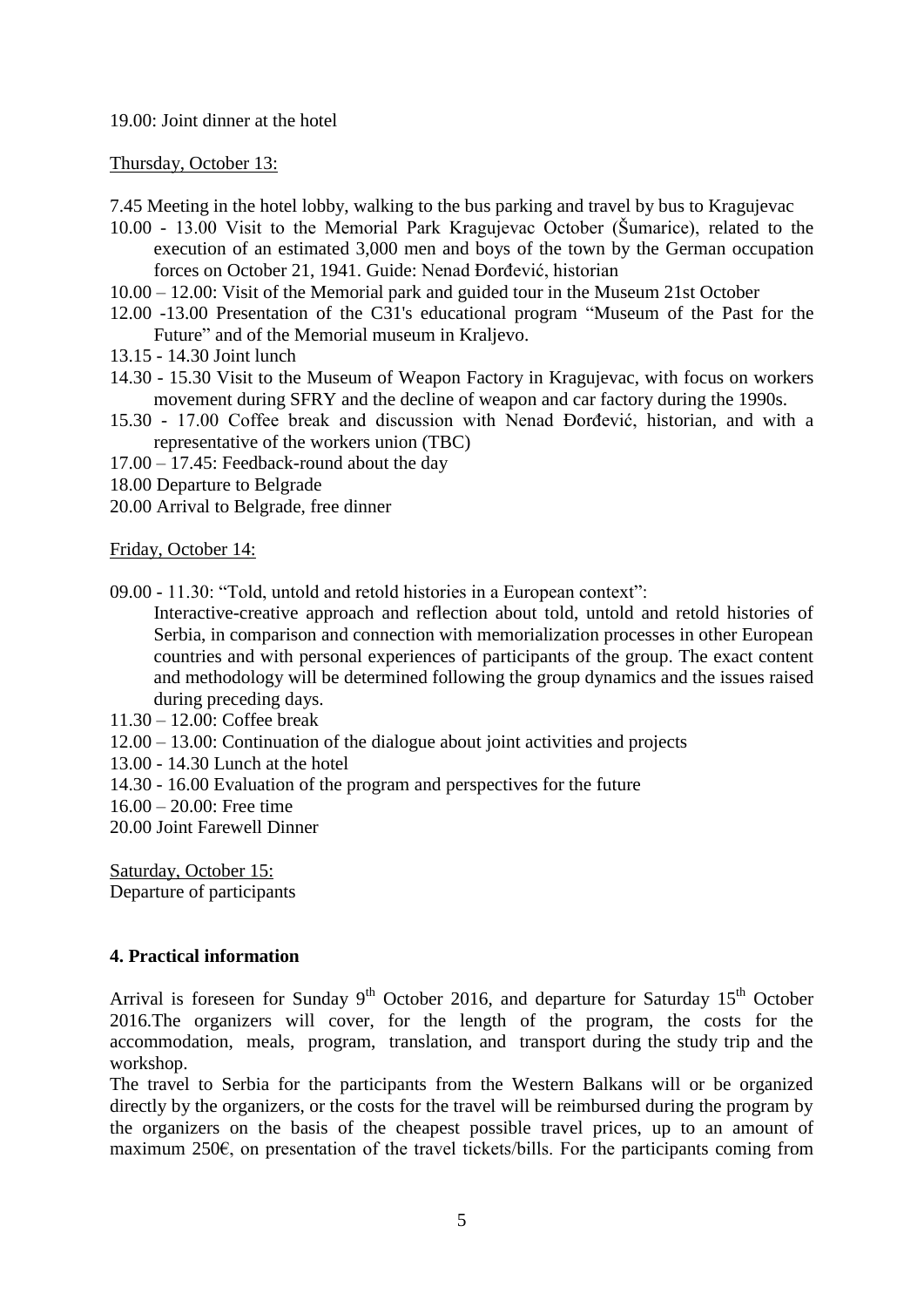## 19.00: Joint dinner at the hotel

## Thursday, October 13:

7.45 Meeting in the hotel lobby, walking to the bus parking and travel by bus to Kragujevac

- 10.00 13.00 Visit to the Memorial Park Kragujevac October (Šumarice), related to the [execution of an estimated 3,000 men and boys](https://en.wikipedia.org/wiki/Kragujevac_massacre) of the town by the [German](https://en.wikipedia.org/wiki/Germany) occupation forces on October 21, 1941. Guide: Nenad Đorđević, historian
- 10.00 12.00: Visit of the Memorial park and guided tour in the Museum 21st October
- 12.00 -13.00 Presentation of the C31's educational program "Museum of the Past for the Future" and of the Memorial museum in Kraljevo.
- 13.15 14.30 Joint lunch
- 14.30 15.30 Visit to the Museum of Weapon Factory in Kragujevac, with focus on workers movement during SFRY and the decline of weapon and car factory during the 1990s.
- 15.30 17.00 Coffee break and discussion with Nenad Đorđević, historian, and with a representative of the workers union (TBC)
- 17.00 17.45: Feedback-round about the day
- 18.00 Departure to Belgrade
- 20.00 Arrival to Belgrade, free dinner

## Friday, October 14:

09.00 - 11.30: "Told, untold and retold histories in a European context":

Interactive-creative approach and reflection about told, untold and retold histories of Serbia, in comparison and connection with memorialization processes in other European countries and with personal experiences of participants of the group. The exact content and methodology will be determined following the group dynamics and the issues raised during preceding days.

- 11.30 12.00: Coffee break
- 12.00 13.00: Continuation of the dialogue about joint activities and projects
- 13.00 14.30 Lunch at the hotel
- 14.30 16.00 Evaluation of the program and perspectives for the future
- 16.00 20.00: Free time
- 20.00 Joint Farewell Dinner

Saturday, October 15: Departure of participants

# **4. Practical information**

Arrival is foreseen for Sunday  $9<sup>th</sup>$  October 2016, and departure for Saturday 15<sup>th</sup> October 2016.The organizers will cover, for the length of the program, the costs for the accommodation, meals, program, translation, and transport during the study trip and the workshop.

The travel to Serbia for the participants from the Western Balkans will or be organized directly by the organizers, or the costs for the travel will be reimbursed during the program by the organizers on the basis of the cheapest possible travel prices, up to an amount of maximum 250€, on presentation of the travel tickets/bills. For the participants coming from